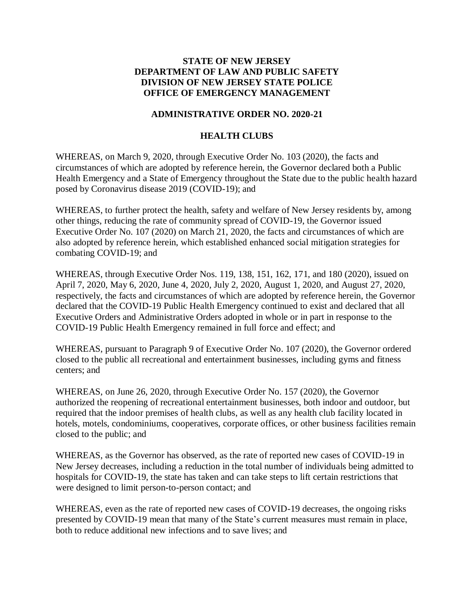## **STATE OF NEW JERSEY DEPARTMENT OF LAW AND PUBLIC SAFETY DIVISION OF NEW JERSEY STATE POLICE OFFICE OF EMERGENCY MANAGEMENT**

## **ADMINISTRATIVE ORDER NO. 2020-21**

## **HEALTH CLUBS**

WHEREAS, on March 9, 2020, through Executive Order No. 103 (2020), the facts and circumstances of which are adopted by reference herein, the Governor declared both a Public Health Emergency and a State of Emergency throughout the State due to the public health hazard posed by Coronavirus disease 2019 (COVID-19); and

WHEREAS, to further protect the health, safety and welfare of New Jersey residents by, among other things, reducing the rate of community spread of COVID-19, the Governor issued Executive Order No. 107 (2020) on March 21, 2020, the facts and circumstances of which are also adopted by reference herein, which established enhanced social mitigation strategies for combating COVID-19; and

WHEREAS, through Executive Order Nos. 119, 138, 151, 162, 171, and 180 (2020), issued on April 7, 2020, May 6, 2020, June 4, 2020, July 2, 2020, August 1, 2020, and August 27, 2020, respectively, the facts and circumstances of which are adopted by reference herein, the Governor declared that the COVID-19 Public Health Emergency continued to exist and declared that all Executive Orders and Administrative Orders adopted in whole or in part in response to the COVID-19 Public Health Emergency remained in full force and effect; and

WHEREAS, pursuant to Paragraph 9 of Executive Order No. 107 (2020), the Governor ordered closed to the public all recreational and entertainment businesses, including gyms and fitness centers; and

WHEREAS, on June 26, 2020, through Executive Order No. 157 (2020), the Governor authorized the reopening of recreational entertainment businesses, both indoor and outdoor, but required that the indoor premises of health clubs, as well as any health club facility located in hotels, motels, condominiums, cooperatives, corporate offices, or other business facilities remain closed to the public; and

WHEREAS, as the Governor has observed, as the rate of reported new cases of COVID-19 in New Jersey decreases, including a reduction in the total number of individuals being admitted to hospitals for COVID-19, the state has taken and can take steps to lift certain restrictions that were designed to limit person-to-person contact; and

WHEREAS, even as the rate of reported new cases of COVID-19 decreases, the ongoing risks presented by COVID-19 mean that many of the State's current measures must remain in place, both to reduce additional new infections and to save lives; and